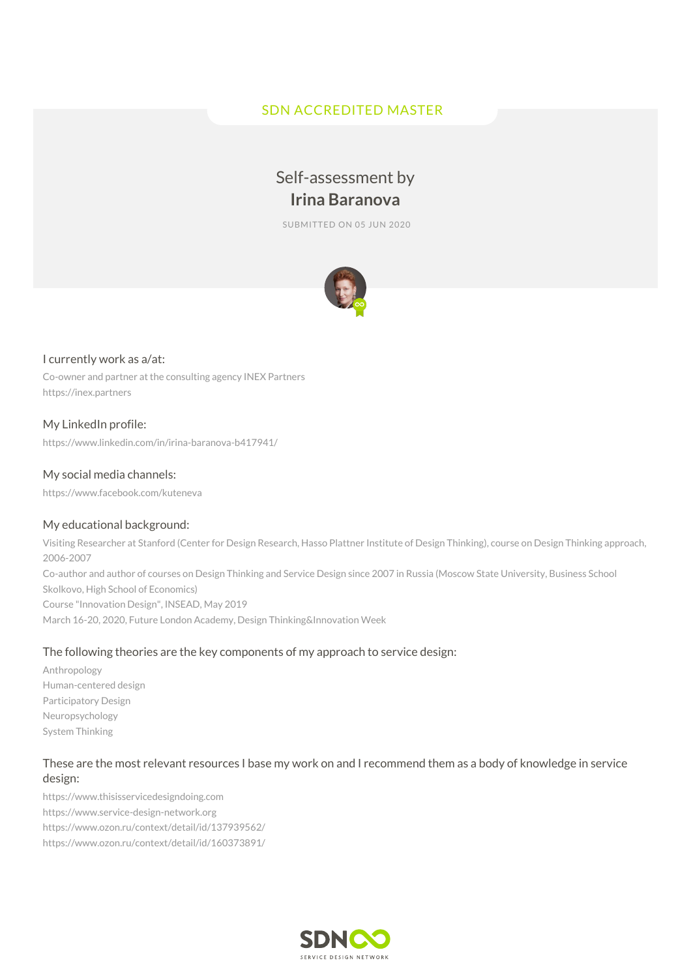## SDN ACCREDITED MASTER

# Self-assessment by **Irina Baranova**

SUBMITTED ON 05 JUN 2020



#### I currently work as a/at:

Co-owner and partner at the consulting agency INEX Partners https://inex.partners

## My LinkedIn profile:

https://www.linkedin.com/in/irina-baranova-b417941/

#### My social media channels:

https://www.facebook.com/kuteneva

#### My educational background:

Visiting Researcher at Stanford (Center for Design Research, Hasso Plattner Institute of Design Thinking), course on Design Thinking approach, 2006-2007 Co-author and author of courses on Design Thinking and Service Design since 2007 in Russia (Moscow State University, Business School Skolkovo, High School of Economics) Course "Innovation Design", INSEAD, May 2019 March 16-20, 2020, Future London Academy, Design Thinking&Innovation Week

#### The following theories are the key components of my approach to service design:

Anthropology Human-centered design Participatory Design Neuropsychology System Thinking

## These are the most relevant resources I base my work on and I recommend them as a body of knowledge in service design:

https://www.thisisservicedesigndoing.com https://www.service-design-network.org https://www.ozon.ru/context/detail/id/137939562/ https://www.ozon.ru/context/detail/id/160373891/

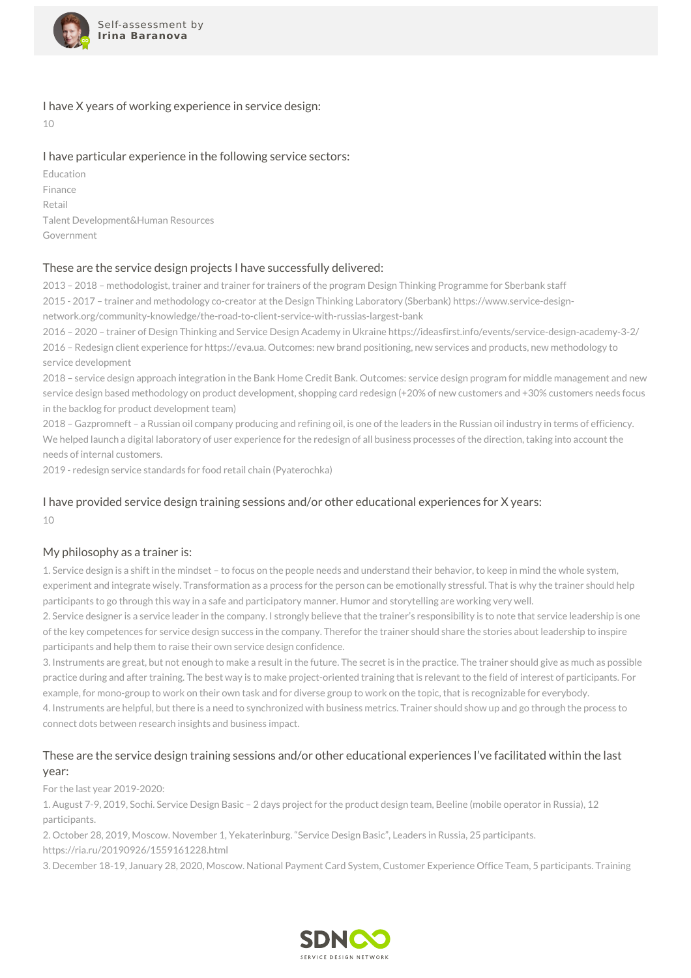

#### I have X years of working experience in service design:

10

## I have particular experience in the following service sectors:

Education Finance Retail Talent Development&Human Resources Government

## These are the service design projects I have successfully delivered:

2013 – 2018 – methodologist, trainer and trainer for trainers of the program Design Thinking Programme for Sberbank staff 2015 - 2017 – trainer and methodology co-creator at the Design Thinking Laboratory (Sberbank) https://www.service-designnetwork.org/community-knowledge/the-road-to-client-service-with-russias-largest-bank

2016 – 2020 – trainer of Design Thinking and Service Design Academy in Ukraine https://ideasfirst.info/events/service-design-academy-3-2/ 2016 – Redesign client experience for https://eva.ua. Outcomes: new brand positioning, new services and products, new methodology to service development

2018 – service design approach integration in the Bank Home Credit Bank. Outcomes: service design program for middle management and new service design based methodology on product development, shopping card redesign (+20% of new customers and +30% customers needs focus in the backlog for product development team)

2018 – Gazpromneft – a Russian oil company producing and refining oil, is one of the leaders in the Russian oil industry in terms of efficiency. We helped launch a digital laboratory of user experience for the redesign of all business processes of the direction, taking into account the needs of internal customers.

2019 - redesign service standards for food retail chain (Pyaterochka)

## I have provided service design training sessions and/or other educational experiences for X years:  $10$

#### My philosophy as a trainer is:

1. Service design is a shift in the mindset – to focus on the people needs and understand their behavior, to keep in mind the whole system, experiment and integrate wisely. Transformation as a process for the person can be emotionally stressful. That is why the trainer should help participants to go through this way in a safe and participatory manner. Humor and storytelling are working very well.

2. Service designer is a service leader in the company. I strongly believe that the trainer's responsibility is to note that service leadership is one of the key competences for service design success in the company. Therefor the trainer should share the stories about leadership to inspire participants and help them to raise their own service design confidence.

3. Instruments are great, but not enough to make a result in the future. The secret is in the practice. The trainer should give as much as possible practice during and after training. The best way is to make project-oriented training that is relevant to the field of interest of participants. For example, for mono-group to work on their own task and for diverse group to work on the topic, that is recognizable for everybody. 4. Instruments are helpful, but there is a need to synchronized with business metrics. Trainer should show up and go through the process to

connect dots between research insights and business impact.

## These are the service design training sessions and/or other educational experiences I've facilitated within the last year:

For the last year 2019-2020:

1. August 7-9, 2019, Sochi. Service Design Basic – 2 days project for the product design team, Beeline (mobile operator in Russia), 12 participants.

2. October 28, 2019, Moscow. November 1, Yekaterinburg. "Service Design Basic", Leaders in Russia, 25 participants.

https://ria.ru/20190926/1559161228.html

3. December 18-19, January 28, 2020, Moscow. National Payment Card System, Customer Experience Office Team, 5 participants. Training

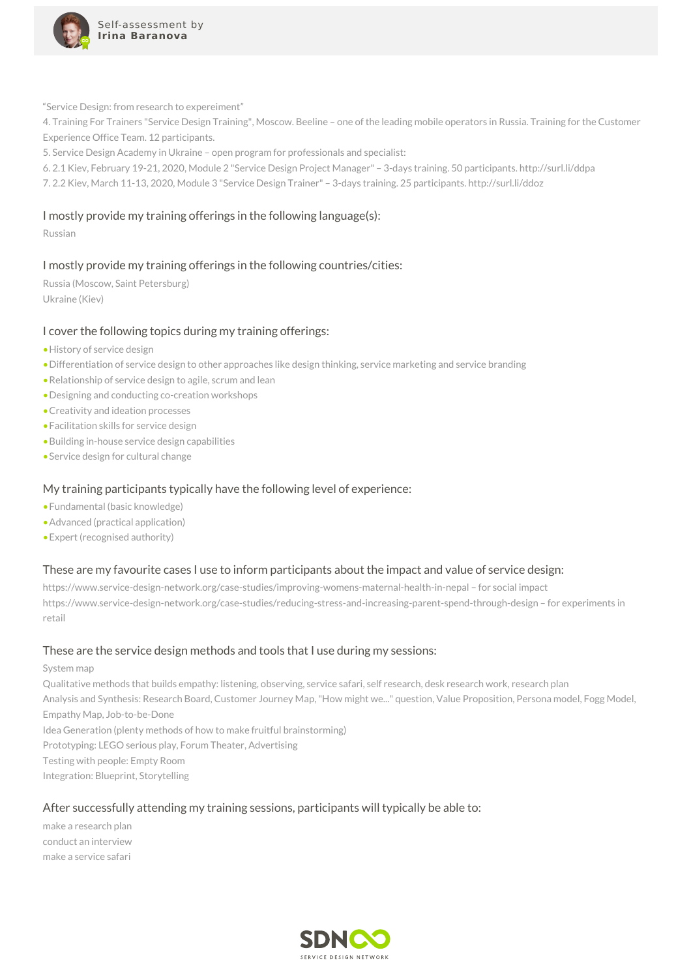

"Service Design: from research to expereiment"

4. Training For Trainers "Service Design Training", Moscow. Beeline – one of the leading mobile operators in Russia. Training for the Customer Experience Office Team. 12 participants.

5. Service Design Academy in Ukraine – open program for professionals and specialist:

6. 2.1 Kiev, February 19-21, 2020, Module 2 "Service Design Project Manager" – 3-days training. 50 participants. http://surl.li/ddpa

7. 2.2 Kiev, March 11-13, 2020, Module 3 "Service Design Trainer" – 3-days training. 25 participants. http://surl.li/ddoz

#### I mostly provide my training offerings in the following language(s):

Russian

## I mostly provide my training offerings in the following countries/cities:

Russia (Moscow, Saint Petersburg) Ukraine (Kiev)

#### I cover the following topics during my training offerings:

- •History of service design
- •Differentiation of service design to other approaches like design thinking, service marketing and service branding
- •Relationship of service design to agile, scrum and lean
- •Designing and conducting co-creation workshops
- •Creativity and ideation processes
- •Facilitation skills for service design
- •Building in-house service design capabilities
- •Service design for cultural change

#### My training participants typically have the following level of experience:

- •Fundamental (basic knowledge)
- •Advanced (practical application)
- •Expert (recognised authority)

#### These are my favourite cases I use to inform participants about the impact and value of service design:

https://www.service-design-network.org/case-studies/improving-womens-maternal-health-in-nepal – for social impact https://www.service-design-network.org/case-studies/reducing-stress-and-increasing-parent-spend-through-design – for experiments in retail

#### These are the service design methods and tools that I use during my sessions:

#### System map

Qualitative methods that builds empathy: listening, observing, service safari, self research, desk research work, research plan Analysis and Synthesis: Research Board, Customer Journey Map,"How might we..." question, Value Proposition, Persona model, Fogg Model, Empathy Map, Job-to-be-Done Idea Generation (plenty methods of how to make fruitful brainstorming) Prototyping: LEGO serious play, Forum Theater, Advertising

Testing with people: Empty Room

Integration: Blueprint, Storytelling

#### After successfully attending my training sessions, participants will typically be able to:

make a research plan conduct an interview make a service safari